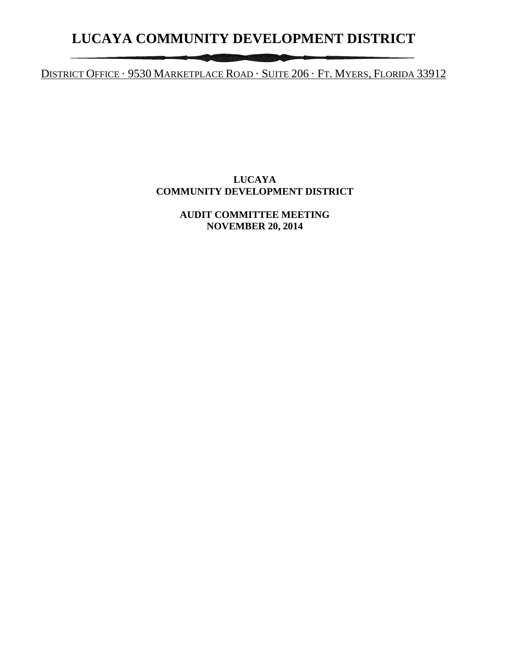# **LUCAYA COMMUNITY DEVELOPMENT DISTRICT**

DISTRICT OFFICE · 9530 MARKETPLACE ROAD · SUITE 206 · FT. MYERS, FLORIDA 33912

**The Council** 

## **LUCAYA COMMUNITY DEVELOPMENT DISTRICT**

**AUDIT COMMITTEE MEETING NOVEMBER 20, 2014**